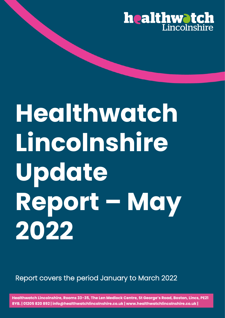

# **Healthwatch Lincolnshire Update Report – May 2022**

Report covers the period January to March 2022

**Healthwatch Lincolnshire, Rooms 33-35, The Len Medlock Centre, St George's Road, Boston, Lincs, PE21 8YB. | 01205 820 892 | info@healthwatchlincolnshire.co.uk | www.healthwatchlincolnshire.co.uk |**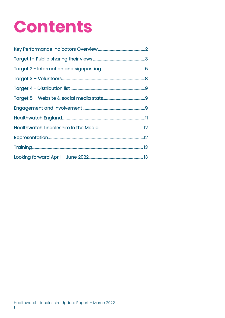## **Contents**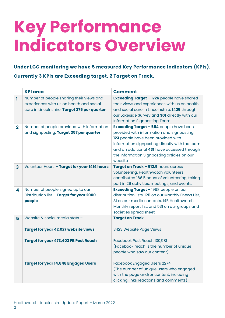## **Key Performance Indicators Overview**

**Under LCC monitoring we have 5 measured Key Performance Indicators (KPIs). Currently 3 KPIs are Exceeding target, 2 Target on Track.** 

|              | <b>KPI area</b>                                                                                                                      | <b>Comment</b>                                                                                                                                                                                                                                                                                |
|--------------|--------------------------------------------------------------------------------------------------------------------------------------|-----------------------------------------------------------------------------------------------------------------------------------------------------------------------------------------------------------------------------------------------------------------------------------------------|
| ı            | Number of people sharing their views and<br>experiences with us on health and social<br>care in Lincolnshire. Target 375 per quarter | <b>Exceeding Target - 1726</b> people have shared<br>their views and experiences with us on health<br>and social care in Lincolnshire, 1425 through<br>our Lakeside Survey and 301 directly with our<br>Information Signposting Team.                                                         |
| $\mathbf{2}$ | Number of people provided with information<br>and signposting. Target 357 per quarter                                                | <b>Exceeding Target - 554 people have been</b><br>provided with information and signposting.<br>123 people have been provided with<br>information signposting directly with the team<br>and an additional 431 have accessed through<br>the Information Signposting articles on our<br>website |
| 3            | Volunteer Hours - Target for year 1414 hours                                                                                         | Target on Track - 512.5 hours across<br>volunteering. Healthwatch volunteers<br>contributed 166.5 hours of volunteering, taking<br>part in 29 activities, meetings, and events.                                                                                                               |
| 4            | Number of people signed up to our<br>Distribution list - Target for year 2000<br>people                                              | <b>Exceeding Target - 1968 people on our</b><br>distribution lists, 1211 on our Monthly Enews List,<br>81 on our media contacts, 145 Healthwatch<br>Monthly report list, and 531 on our groups and<br>societies spreadsheet                                                                   |
| 5            | Website & social media stats -                                                                                                       | <b>Target on Track</b>                                                                                                                                                                                                                                                                        |
|              | <b>Target for year 42,027 website views</b>                                                                                          | 8423 Website Page Views                                                                                                                                                                                                                                                                       |
|              | <b>Target for year 473,403 FB Post Reach</b>                                                                                         | Facebook Post Reach 130,581<br>(Facebook reach is the number of unique<br>people who saw our content)                                                                                                                                                                                         |
|              | <b>Target for year 14,848 Engaged Users</b>                                                                                          | <b>Facebook Engaged Users 2274</b><br>(The number of unique users who engaged<br>with the page and/or content, including<br>clicking links reactions and comments)                                                                                                                            |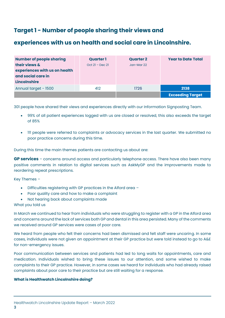## **Target 1 - Number of people sharing their views and**

### **experiences with us on health and social care in Lincolnshire.**

| <b>Number of people sharing</b><br>their views &<br>experiences with us on health<br>and social care in<br><b>Lincolnshire</b> | <b>Quarter 1</b><br>$Oct 21 - Dec 21$ | <b>Quarter 2</b><br>Jan-Mar 22 | <b>Year to Date Total</b> |
|--------------------------------------------------------------------------------------------------------------------------------|---------------------------------------|--------------------------------|---------------------------|
| Annual target - 1500                                                                                                           | 412                                   | 1726                           | 2138                      |
|                                                                                                                                |                                       |                                | <b>Exceeding Target</b>   |

301 people have shared their views and experiences directly with our Information Signposting Team.

- 99% of all patient experiences logged with us are closed or resolved, this also exceeds the target of 85%
- 111 people were referred to complaints or advocacy services in the last quarter. We submitted no poor practice concerns during this time.

During this time the main themes patients are contacting us about are:

**GP services** – concerns around access and particularly telephone access. There have also been many positive comments in relation to digital services such as AskMyGP and the improvements made to reordering repeat prescriptions.

Key Themes –

- Difficulties registering with GP practices in the Alford area –
- Poor quality care and how to make a complaint
- Not hearing back about complaints made

#### What you told us

In March we continued to hear from individuals who were struggling to register with a GP in the Alford area and concerns around the lack of services both GP and dental in this area persisted. Many of the comments we received around GP services were cases of poor care.

We heard from people who felt their concerns had been dismissed and felt staff were uncaring. In some cases, individuals were not given an appointment at their GP practice but were told instead to go to A&E for non-emergency issues.

Poor communication between services and patients had led to long waits for appointments, care and medication. Individuals wished to bring these issues to our attention, and some wished to make complaints to their GP practice. However, in some cases we heard for individuals who had already raised complaints about poor care to their practice but are still waiting for a response.

#### **What is Healthwatch Lincolnshire doing?**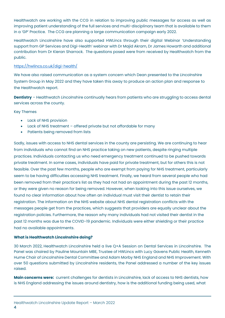Healthwatch are working with the CCG in relation to improving public messages for access as well as improving patient understanding of the full services and multi-disciplinary team that is available to them in a 'GP' Practice. The CCG are planning a large communication campaign early 2022.

Healthwatch Lincolnshire have also supported HWLincs through their digital Webinar 'Understanding support from GP Services and Digi-Health' webinar with Dr Majid Akram, Dr James Howarth and additional contribution from Dr Kieran Sharrock. The questions posed were from received by Healthwatch from the public.

#### <https://hwlincs.co.uk/digi-health/>

We have also raised communication as a system concern which Dean presented to the Lincolnshire System Group in May 2022 and they have taken this away to produce an action plan and response to the Healthwatch report.

**Dentistry** – Healthwatch Lincolnshire continually hears from patients who are struggling to access dental services across the county.

#### Key Themes

- Lack of NHS provision
- Lack of NHS treatment offered private but not affordable for many
- Patients being removed from lists

Sadly, issues with access to NHS dental services in the county are persisting. We are continuing to hear from individuals who cannot find an NHS practice taking on new patients, despite ringing multiple practices. Individuals contacting us who need emergency treatment continued to be pushed towards private treatment. In some cases, individuals have paid for private treatment, but for others this is not feasible. Over the past few months, people who are exempt from paying for NHS treatment, particularly seem to be having difficulties accessing NHS treatment. Finally, we heard from several people who had been removed from their practice's list as they had not had an appointment during the past 12 months, or they were given no reason for being removed. However, when looking into this issue ourselves, we found no clear information about how often an individual must visit their dentist to retain their registration. The information on the NHS website about NHS dental registration conflicts with the messages people get from the practices, which suggests that providers are equally unclear about the registration policies. Furthermore, the reason why many individuals had not visited their dentist in the past 12 months was due to the COVID-19 pandemic. Individuals were either shielding or their practice had no available appointments.

#### **What is Healthwatch Lincolnshire doing?**

30 March 2022, Healthwatch Lincolnshire held a live Q+A Session on Dental Services in Lincolnshire. The Panel was chaired by Pauline Mountain MBE, Trustee of HWLincs with Lucy Gavens Public Health, Kenneth Hume Chair of Lincolnshire Dental Committee and Adam Morby NHS England and NHS Improvement. With over 50 questions submitted by Lincolnshire residents, the Panel addressed a number of the key issues raised.

**Main concerns were:** current challenges for dentists in Lincolnshire, lack of access to NHS dentists, how is NHS England addressing the issues around dentistry, how is the additional funding being used, what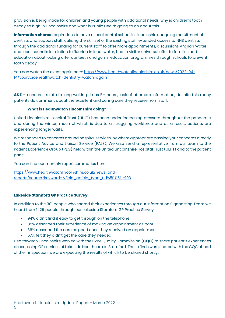provision is being made for children and young people with additional needs, why is children's tooth decay so high in Lincolnshire and what is Public Health going to do about this.

**Information shared:** aspirations to have a local dental school in Lincolnshire, ongoing recruitment of dentists and support staff, utilising the skill set of the existing staff, extended access to NHS dentists through the additional funding for current staff to offer more appointments, discussions Anglian Water and local councils in relation to fluoride in local water, health visitor universal offer to families and education about looking after our teeth and gums, education programmes through schools to prevent tooth decay.

You can watch the event again here: [https://www.healthwatchlincolnshire.co.uk/news/2022-04-](https://www.healthwatchlincolnshire.co.uk/news/2022-04-14/yourvoicehealthwatch-dentistry-watch-again) [14/yourvoicehealthwatch-dentistry-watch-again](https://www.healthwatchlincolnshire.co.uk/news/2022-04-14/yourvoicehealthwatch-dentistry-watch-again)

**A&E** – concerns relate to long waiting times 5+ hours, lack of aftercare information, despite this many patients do comment about the excellent and caring care they receive from staff.

#### **What is Healthwatch Lincolnshire doing?**

United Lincolnshire Hospital Trust (ULHT) has been under increasing pressure throughout the pandemic and during the winter, much of which is due to a struggling workforce and as a result, patients are experiencing longer waits.

We responded to concerns around hospital services, by where appropriate passing your concerns directly to the Patient Advice and Liaison Service (PALS). We also send a representative from our team to the Patient Experience Group (PEG) held within the United Lincolnshire Hospital Trust (ULHT) and to the patient panel

You can find our monthly report summaries here:

[https://www.healthwatchlincolnshire.co.uk/news-and](https://www.healthwatchlincolnshire.co.uk/news-and-reports/search?keyword=&field_article_type_tid%5B%5D=103)[reports/search?keyword=&field\\_article\\_type\\_tid%5B%5D=103](https://www.healthwatchlincolnshire.co.uk/news-and-reports/search?keyword=&field_article_type_tid%5B%5D=103)

#### **Lakeside Stamford GP Practice Survey**

In addition to the 301 people who shared their experiences through our Information Signposting Team we heard from 1425 people through our Lakeside Stamford GP Practice Survey.

- 94% didn't find it easy to get through on the telephone
- 85% described their experience of making an appointment as poor
- 36% described the care as good once they received an appointment
- 57% felt they didn't get the care they needed

Healthwatch Lincolnshire worked with the Care Quality Commission (CQC) to share patient's experiences of accessing GP services at Lakeside Healthcare at Stamford. These finds were shared with the CQC ahead of their inspection, we are expecting the results of which to be shared shortly.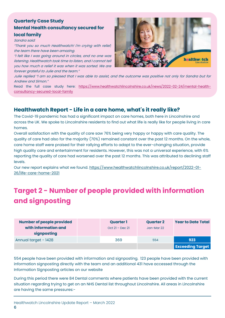#### **Quarterly Case Study Mental Health consultancy secured for local family**

Sandra said:

"Thank you so much Healthwatch! I'm crying with relief; the team there have been amazing.

"I felt like I was going around in circles, and no one was listening. Healthwatch took time to listen, and I cannot tell you how much a relief it was when it was sorted. We are forever grateful to Julie and the team."



Julie replied "I am so pleased that I was able to assist, and the outcome was positive not only for Sandra but for Andrew and Simon."

Read the full case study here: [https://www.healthwatchlincolnshire.co.uk/news/2022-02-24/mental-health](https://www.healthwatchlincolnshire.co.uk/news/2022-02-24/mental-health-consultancy-secured-local-family)[consultancy-secured-local-family](https://www.healthwatchlincolnshire.co.uk/news/2022-02-24/mental-health-consultancy-secured-local-family)

### **Healthwatch Report - Life in a care home, what's it really like?**

The Covid-19 pandemic has had a significant impact on care homes, both here in Lincolnshire and across the UK. We spoke to Lincolnshire residents to find out what life is really like for people living in care homes.

Overall satisfaction with the quality of care saw 76% being very happy or happy with care quality. The quality of care had also for the majority (70%) remained constant over the past 12 months. On the whole, care home staff were praised for their rallying efforts to adapt to the ever-changing situation, provide high quality care and entertainment for residents. However, this was not a universal experience, with 6% reporting the quality of care had worsened over the past 12 months. This was attributed to declining staff levels.

Our new report explains what we found. [https://www.healthwatchlincolnshire.co.uk/report/2022-01-](https://www.healthwatchlincolnshire.co.uk/report/2022-01-26/life-care-home-2021) [26/life-care-home-2021](https://www.healthwatchlincolnshire.co.uk/report/2022-01-26/life-care-home-2021)

## **Target 2 - Number of people provided with information and signposting**

| <b>Number of people provided</b> | <b>Quarter 1</b>  | <b>Quarter 2</b> | <b>Year to Date Total</b> |
|----------------------------------|-------------------|------------------|---------------------------|
| with information and             | $Oct 21 - Dec 21$ | Jan-Mar 22       |                           |
| signposting                      |                   |                  |                           |
| Annual target - 1428             | 369               | 554              | 923                       |
|                                  |                   |                  | <b>Exceeding Target</b>   |

554 people have been provided with information and signposting. 123 people have been provided with information signposting directly with the team and an additional 431 have accessed through the Information Signposting articles on our website

During this period there were 84 Dental comments where patients have been provided with the current situation regarding trying to get on an NHS Dental list throughout Lincolnshire. All areas in Lincolnshire are having the same pressures:-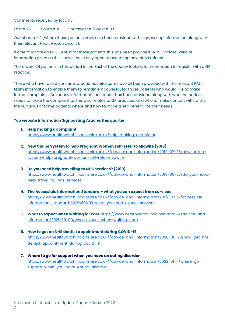Comments received by locality

#### $Fast = 26$  South =  $18$  Southwest =  $5$  West =  $33$

Out of area - 2 (where these patients have also been provided with signposting information along with their relevant Healthwatch details).

If able to locate an NHS Dentist for these patients this has been provided. NHS Choices website information given as this shows those only open to accepting new NHS Patients.

There were 24 patients in this period in the East of the county looking for information to register with a GP Practice.

Those who have raised concerns around hospital care have all been provided with the relevant PALs team information to enable them to remain empowered, for those patients who would like to make formal complaints, Advocacy information for support has been provided along with who the patient needs to make the complaint to, this also relates to GP practices and who to make contact with, within the surgery. For some patients where and how to make a self-referral for their needs.

#### **Top website Information Signposting Articles this quarter**

- **1. Help making a complaint**  <https://www.healthwatchlincolnshire.co.uk/help-making-complaint>
- **2. New Online System to help Pregnant Women self-refer to Midwife (2019)** [https://www.healthwatchlincolnshire.co.uk//advice-and-information/2019-07-26/new-online](https://www.healthwatchlincolnshire.co.uk/advice-and-information/2019-07-26/new-online-system-help-pregnant-women-self-refer-midwife)[system-help-pregnant-women-self-refer-midwife](https://www.healthwatchlincolnshire.co.uk/advice-and-information/2019-07-26/new-online-system-help-pregnant-women-self-refer-midwife)
- **3. Do you need help travelling to NHS services? (2019)** [https://www.healthwatchlincolnshire.co.uk//advice-and-information/2019-09-27/do-you-need](https://www.healthwatchlincolnshire.co.uk/advice-and-information/2019-09-27/do-you-need-help-travelling-nhs-services)[help-travelling-nhs-services](https://www.healthwatchlincolnshire.co.uk/advice-and-information/2019-09-27/do-you-need-help-travelling-nhs-services)
- **4. The Accessible Information Standard – what you can expect from services** [https://www.healthwatchlincolnshire.co.uk//advice-and-information/2022-02-17/accessible](https://www.healthwatchlincolnshire.co.uk/advice-and-information/2022-02-17/accessible-information-standard-%E2%80%93-what-you-can-expect-services)[information-standard-%E2%80%93-what-you-can-expect-services](https://www.healthwatchlincolnshire.co.uk/advice-and-information/2022-02-17/accessible-information-standard-%E2%80%93-what-you-can-expect-services)
- 5. **What to expect when waiting for care** [https://www.healthwatchlincolnshire.co.uk/advice-and](https://www.healthwatchlincolnshire.co.uk/advice-and-information/2021-09-09/what-expect-when-waiting-care)[information/2021-09-09/what-expect-when-waiting-care](https://www.healthwatchlincolnshire.co.uk/advice-and-information/2021-09-09/what-expect-when-waiting-care)
- **6. How to get an NHS dentist appointment during COVID-19** [https://www.healthwatchlincolnshire.co.uk//advice-and-information/2020-06-22/how-get-nhs](https://www.healthwatchlincolnshire.co.uk/advice-and-information/2020-06-22/how-get-nhs-dentist-appointment-during-covid-19)[dentist-appointment-during-covid-19](https://www.healthwatchlincolnshire.co.uk/advice-and-information/2020-06-22/how-get-nhs-dentist-appointment-during-covid-19)
- **7. Where to go for support when you have an eating disorder** [https://www.healthwatchlincolnshire.co.uk//advice-and-information/2022-01-11/where-go](https://www.healthwatchlincolnshire.co.uk/advice-and-information/2022-01-11/where-go-support-when-you-have-eating-disorder)[support-when-you-have-eating-disorder](https://www.healthwatchlincolnshire.co.uk/advice-and-information/2022-01-11/where-go-support-when-you-have-eating-disorder)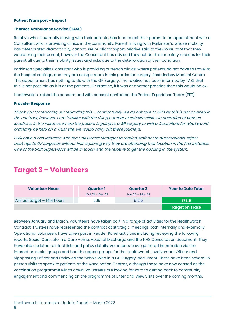#### **Patient Transport – Impact**

#### **Thames Ambulance Service (TASL)**

Relative who is currently staying with their parents, has tried to get their parent to an appointment with a Consultant who is providing clinics in the community. Parent is living with Parkinson's, whose mobility has deteriorated dramatically, cannot use public transport, relative said to the Consultant that they would bring their parent, however the Consultant has advised they not do this for safety reasons for their parent all due to their mobility issues and risks due to the deterioration of their condition.

Parkinson Specialist Consultant who is providing outreach clinics, where patients do not have to travel to the hospital settings, and they are using a room in this particular surgery. East Lindsey Medical Centre This appointment has nothing to do with the GP Surgery. The relative has been informed by TASL that this is not possible as it is at the patients GP Practice, if it was at another practice then this would be ok.

Healthwatch raised the concern and with consent contacted the Patient Experience Team (PET).

#### **Provider Response**

Thank you for reaching out regarding this – contractually, we do not take to GP's as this is not covered in the contract, however, I am familiar with the rising number of satellite clinics in operation at various locations. In the instance where the patient is going to a GP surgery to visit a Consultant for what would ordinarily be held on a Trust site, we would carry out these journeys.

I will have a conversation with the Call Centre Manager to remind staff not to automatically reject bookings to GP surgeries without first exploring why they are attending that location in the first instance. One of the Shift Supervisors will be in touch with the relative to get the booking in the system.

## **Target 3 – Volunteers**

| <b>Volunteer Hours</b>     | <b>Quarter 1</b>  | <b>Quarter 2</b> | <b>Year to Date Total</b> |
|----------------------------|-------------------|------------------|---------------------------|
|                            | $Oct 21 - Dec 21$ | Jan 22 – Mar 22  |                           |
| Annual target - 1414 hours | 265               | 512.5            | 777.5                     |
|                            |                   |                  | <b>Target on Track</b>    |

Between January and March, volunteers have taken part in a range of activities for the Healthwatch Contract. Trustees have represented the contract at strategic meetings both internally and externally. Operational volunteers have taken part in Reader Panel activities including reviewing the following reports: Social Care, Life in a Care Home, Hospital Discharge and the NHS Consultation document. They have also updated contact lists and policy details. Volunteers have gathered information via the internet on social groups and health support groups for the Healthwatch Involvement Officer and Signposting Officer and reviewed the 'Who's Who in a GP Surgery' document. There have been several in person visits to speak to patients at the Vaccination Centres, although these have now ceased as the vaccination programme winds down. Volunteers are looking forward to getting back to community engagement and commencing on the programme of Enter and View visits over the coming months.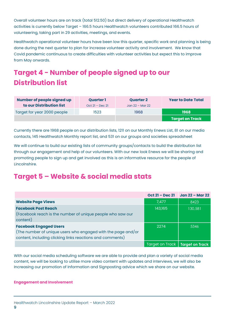Overall volunteer hours are on track (total 512.50) but direct delivery of operational Healthwatch activities is currently below Target – 166.5 hours Healthwatch volunteers contributed 166.5 hours of volunteering, taking part in 29 activities, meetings, and events.

Healthwatch operational volunteer hours have been low this quarter, specific work and planning is being done during the next quarter to plan for increase volunteer activity and involvement. We know that Covid pandemic continuous to create difficulties with volunteer activities but expect this to improve from May onwards.

## **Target 4 - Number of people signed up to our Distribution list**

| <b>Number of people signed up</b> | <b>Quarter 1</b>  | <b>Quarter 2</b>    | <b>Year to Date Total</b> |
|-----------------------------------|-------------------|---------------------|---------------------------|
| to our Distribution list          | $Oct 2l - Dec 2l$ | Jan $22$ – Mar $22$ |                           |
| Target for year 2000 people       | 1523              | 1968                | 1968                      |
|                                   |                   |                     | <b>Target on Track</b>    |

Currently there are 1968 people on our distribution lists, 1211 on our Monthly Enews List, 81 on our media contacts, 145 Healthwatch Monthly report list, and 531 on our groups and societies spreadsheet

We will continue to build our existing lists of community groups/contacts to build the distribution list through our engagement and help of our volunteers. With our new look Enews we will be sharing and promoting people to sign up and get involved as this is an informative resource for the people of Lincolnshire.

## **Target 5 – Website & social media stats**

|                                                              | $Oct 21 - Dec 21$ | Jan 22 – Mar 22                   |
|--------------------------------------------------------------|-------------------|-----------------------------------|
| <b>Website Page Views</b>                                    | 7,477             | 8423                              |
| <b>Facebook Post Reach</b>                                   | 143,165           | 130,581                           |
| (Facebook reach is the number of unique people who saw our   |                   |                                   |
| content)                                                     |                   |                                   |
| <b>Facebook Engaged Users</b>                                | 2274              | 5346                              |
| (The number of unique users who engaged with the page and/or |                   |                                   |
| content, including clicking links reactions and comments)    |                   |                                   |
|                                                              |                   | Target on Track   Target on Track |

With our social media scheduling software we are able to provide and plan a variety of social media content, we will be looking to utilise more video content with updates and interviews, we will also be Increasing our promotion of Information and Signposting advice which we share on our website.

#### **Engagement and Involvement**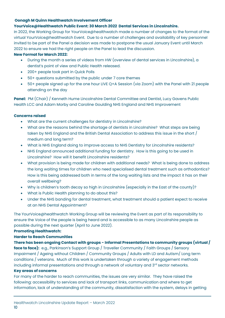#### **Oonagh M Quinn Healthwatch Involvement Officer**

#### **YourVoice@Healthwatch Public Event: 30 March 2022 Dental Services in Lincolnshire.**

In 2022, the Working Group for YourVoice@healthwatch made a number of changes to the format of the virtual YourVoice@healthwatch Event. Due to a number of challenges and availability of key personnel invited to be part of the Panel a decision was made to postpone the usual January Event until March 2022 to ensure we had the right people on the Panel to lead the discussion.

#### **New Format for March 2022:**

- During the month a series of videos from HW (overview of dental services in Lincolnshire), a dentist's point of view and Public Health released.
- 200+ people took part in Quick Polls
- 50+ questions submitted by the public under 7 core themes
- 50+ people signed up for the one hour LIVE Q+A Session (via Zoom) with the Panel with 21 people attending on the day

Panel: PM (Chair) / Kenneth Hume Lincolnshire Dental Committee and Dentist, Lucy Gavens Public Health LCC and Adam Morby and Caroline Goulding NHS England and NHS Improvement

#### **Concerns raised**

- What are the current challenges for dentistry in Lincolnshire?
- What are the reasons behind the shortage of dentists in Lincolnshire? What steps are being taken by NHS England and the British Dental Association to address this issue in the short / medium and long term?
- What is NHS England doing to improve access to NHS Dentistry for Lincolnshire residents?
- NHS England announced additional funding for dentistry. How is this going to be used in Lincolnshire? How will it benefit Lincolnshire residents?
- What provision is being made for children with additional needs? What is being done to address the long waiting times for children who need specialised dental treatment such as orthodontics? How is this being addressed both in terms of the long waiting lists and the impact it has on their overall wellbeing?
- Why is children's tooth decay so high in Lincolnshire (especially in the East of the county)?
- What is Public Health planning to do about this?
- Under the NHS banding for dental treatment, what treatment should a patient expect to receive at an NHS Dental Appointment?

The YourVoice@healthwatch Working Group will be reviewing the Event as part of its responsibility to ensure the Voice of the people is being heard and is accessible to as many Lincolnshire people as possible during the next quarter (April to June 2022).

#### **Promoting Healthwatch:**

#### **Harder to Reach Communities**

**There has been ongoing Contact with groups - Informal Presentations to community groups (virtual / face to face):** e.g., Parkinson's Support Group / Traveller Community / Faith Groups / Sensory Impairment / Ageing without Children / Community Groups / Adults with LD and Autism/ Long term conditions / veterans. Much of this work is undertaken through a variety of engagement methods including informal presentations and through a network of voluntary and 3rd sector networks.

#### **Key areas of concerns**

For many of the harder to reach communities, the issues are very similar. They have raised the following: accessibility to services and lack of transport links, communication and where to get information, lack of understanding of the community, dissatisfaction with the system, delays in getting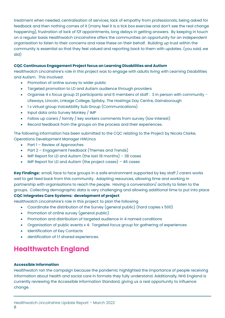treatment when needed, centralisation of services, lack of empathy from professionals, being asked for feedback and then nothing comes of it (many feel it is a tick box exercise and don't see the real change happening), frustration of lack of f2f appointments, long delays in getting answers. By keeping in touch on a regular basis Healthwatch Lincolnshire offers the communities an opportunity for an independent organisation to listen to their concerns and raise these on their behalf. Building up trust within the community is essential so that they feel valued and reporting back to them with updates. (you said, we did)

#### **CQC Continuous Engagement Project focus on Learning Disabilities and Autism**

Healthwatch Lincolnshire's role in this project was to engage with adults living with Learning Disabilities and Autism. This involved:

- Promotion of online survey to wider public
- Targeted promotion to LD and Autism audience through providers
- Organise 4 x focus group 21 participants and 6 members of staff : 3 in person with community Lifeways, Lincoln, Linkage College, Spilsby, The Hastings Day Centre, Gainsborough
- 1 x virtual group VoiceAbility Sub Group (Communications)
- Input data onto Survey Monkey / IMP
- Follow up carers / family / key workers comments from survey (low interest)
- Record feedback from the groups on the process and their experiences.

The following information has been submitted to the CQC relating to the Project by Nicola Clarke, Operations Development Manager HWLincs

- Part 1 Review of Approaches
- Part 2 Engagement Feedback (Themes and Trends)
- IMP Report for LD and Autism (the last 18 months) 38 cases
- IMP Report for LD and Autism (the project cases) 46 cases

**Key Findings:** small, face to face groups in a safe environment supported by key staff / carers works well to get feed back from this community. Adapting resources, allowing time and working in partnership with organisations to reach the people. Having a conversation/ activity to listen to the groups. Collecting demographic data is very challenging and allowing additional time to put into place

#### **CQC Integrates Care Systems: development of project**

Healthwatch Lincolnshire's role in this project: to plan the following

- Coordinate the distribution of the Survey (general public) (hard copies x 500)
- Promotion of online survey (general public)
- Promotion and distribution of targeted audience in 4 named conditions
- Organisation of public events x 4: Targeted focus group for gathering of experiences
- Identification of Key Contacts
- dentification of 1:1 shared experiences.

## **Healthwatch England**

#### **Accessible Information**

Healthwatch ran the campaign because the pandemic highlighted the importance of people receiving information about health and social care in formats they fully understand. Additionally, NHS England is currently reviewing the Accessible Information Standard, giving us a real opportunity to influence change.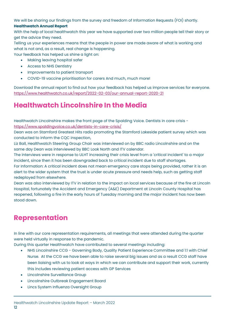We will be sharing our findings from the survey and freedom of Information Requests (FOI) shortly.

#### **Healthwatch Annual Report**

With the help of local healthwatch this year we have supported over two million people tell their story or get the advice they need.

Telling us your experiences means that the people in power are made aware of what is working and what is not and, as a result, real change is happening.

Your feedback has helped us shine a light on:

- Making leaving hospital safer
- Access to NHS Dentistry
- Improvements to patient transport
- COVID-19 vaccine prioritisation for carers And much, much more!

Download the annual report to find out how your feedback has helped us improve services for everyone. <https://www.healthwatch.co.uk/report/2022-02-03/our-annual-report-2020-21>

## **Healthwatch Lincolnshire In the Media**

Healthwatch Lincolnshire makes the front page of the Spalding Voice. Dentists in care crisis <https://www.spaldingvoice.co.uk/dentists-in-care-crisis/>

Dean was on Stamford Greatest Hits radio promoting the Stamford Lakeside patient survey which was conducted to inform the CQC inspection,

Liz Ball, Healthwatch Steering Group Chair was interviewed on by BBC radio Lincolnshire and on the same day Dean was interviewed by BBC Look North and ITV calendar.

The interviews were in response to ULHT increasing their crisis level from a 'critical incident' to a major incident, since then it has been downgraded back to critical incident due to staff shortages.

For Information: A critical incident does not mean emergency care stops being provided, rather it is an alert to the wider system that the trust is under acute pressure and needs help, such as getting staff redeployed from elsewhere.

Dean was also interviewed by ITV in relation to the impact on local services because of the fire at Lincoln Hospital, fortunately the Accident and Emergency (A&E) Department at Lincoln County Hospital has reopened, following a fire in the early hours of Tuesday morning and the major incident has now been stood down.

## **Representation**

In line with our core representation requirements, all meetings that were attended during the quarter were held virtually in response to the pandemic.

During this quarter Healthwatch have contributed to several meetings including:

- NHS Lincolnshire CCG Governing Body, Quality Patient Experience Committee and 1:1 with Chief Nurse. At the CCG we have been able to raise several big issues and as a result CCG staff have been liaising with us to look at ways in which we can contribute and support their work, currently this includes reviewing patient access with GP Services
- Lincolnshire Surveillance Group
- Lincolnshire Outbreak Engagement Board
- Lincs System Influenza Oversight Group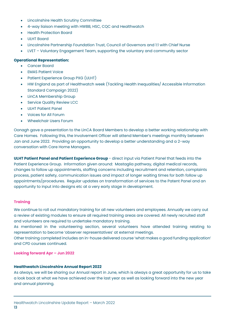- Lincolnshire Health Scrutiny Committee
- 4-way liaison meeting with HWBB, HSC, CQC and Healthwatch
- Health Protection Board
- ULHT Board
- Lincolnshire Partnership Foundation Trust, Council of Governors and 1:1 with Chief Nurse
- LVET Voluntary Engagement Team, supporting the voluntary and community sector

#### **Operational Representation:**

- Cancer Board
- **EMAS Patient Voice**
- Patient Experience Group PXG (ULHT)
- HW England as part of Healthwatch week (Tackling Health Inequalities/ Accessible Information Standard Campaign 2022)
- LinCA Membership Group
- **Service Quality Review LCC**
- ULHT Patient Panel
- Voices for All Forum
- Wheelchair Users Forum

Oonagh gave a presentation to the LinCA Board Members to develop a better working relationship with Care Homes. Following this, the Involvement Officer will attend Member's meetings monthly between Jan and June 2022. Providing an opportunity to develop a better understanding and a 2-way conversation with Care Home Managers.

**ULHT Patient Panel and Patient Experience Group** - direct input via Patient Panel that feeds into the Patient Experience Group. Information given around: Mastaglia pathway, digital medical records, changes to follow up appointments, staffing concerns including recruitment and retention, complaints process, patient safety, communication issues and impact of longer waiting times for both follow up appointments/procedures. Regular updates on transformation of services to the Patent Panel and an opportunity to input into designs etc at a very early stage in development.

#### **Training**

We continue to roll out mandatory training for all new volunteers and employees. Annually we carry out a review of existing modules to ensure all required training areas are covered. All newly recruited staff and volunteers are required to undertake mandatory training.

As mentioned in the volunteering section, several volunteers have attended training relating to representation to become 'observer representatives' at external meetings.

Other training completed includes an in-house delivered course 'what makes a good funding application' and CPD courses continued.

**Looking forward Apr – Jun 2022**

#### **Healthwatch Lincolnshire Annual Report 2022**

As always, we will be sharing our Annual report in June, which is always a great opportunity for us to take a look back at what we have achieved over the last year as well as looking forward into the new year and annual planning.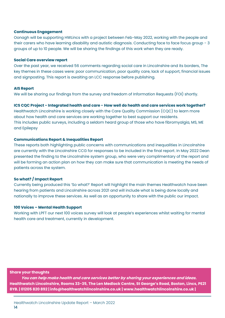#### **Continuous Engagement**

Oonagh will be supporting HWLincs with a project between Feb-May 2022, working with the people and their carers who have learning disability and autistic diagnosis. Conducting face to face focus group - 3 groups of up to 10 people. We will be sharing the findings of this work when they are ready.

#### **Social Care overview report**

Over the past year, we received 56 comments regarding social care in Lincolnshire and its borders, The key themes in these cases were: poor communication, poor quality care, lack of support, financial issues and signposting. This report is awaiting an LCC response before publishing.

#### **AIS Report**

We will be sharing our findings from the survey and freedom of Information Requests (FOI) shortly.

#### **ICS CQC Project - Integrated health and care - How well do health and care services work together?**

Healthwatch Lincolnshire is working closely with the Care Quality Commission (CQC) to learn more about how health and care services are working together to best support our residents. This includes public surveys, including a seldom heard group of those who have fibromyalgia, MS, ME and Epilepsy

#### **Communications Report & Inequalities Report**

These reports both highlighting public concerns with communications and inequalities in Lincolnshire are currently with the Lincolnshire CCG for responses to be included in the final report. In May 2022 Dean presented the finding to the Lincolnshire system group, who were very complimentary of the report and will be forming an action plan on how they can make sure that communication is meeting the needs of patients across the system.

#### **So what? / Impact Report**

Currently being produced this 'So what?' Report will highlight the main themes Healthwatch have been hearing from patients and Lincolnshire across 2021 and will include what is being done locally and nationally to improve these services. As well as an opportunity to share with the public our impact.

#### **100 Voices – Mental Health Support**

Working with LPFT our next 100 voices survey will look at people's experiences whilst waiting for mental health care and treatment, currently in development.

#### **Share your thoughts**

**You can help make health and care services better by sharing your experiences and ideas. Healthwatch Lincolnshire, Rooms 33-35, The Len Medlock Centre, St George's Road, Boston, Lincs, PE21 8YB. | 01205 820 892 | info@healthwatchlincolnshire.co.uk | www.healthwatchlincolnshire.co.uk |**